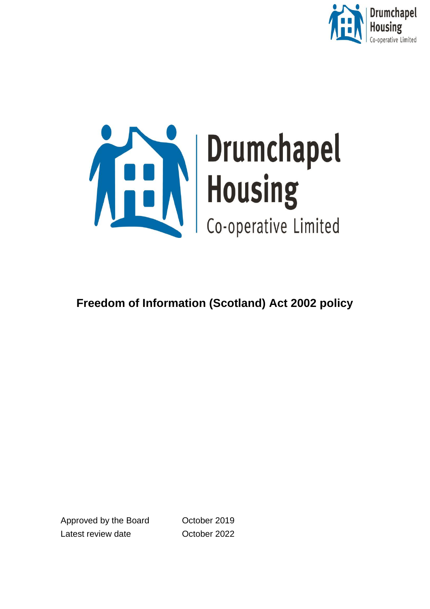

<span id="page-0-0"></span>

# **Freedom of Information (Scotland) Act 2002 policy**

Approved by the Board Corober 2019 Latest review date **C**orober 2022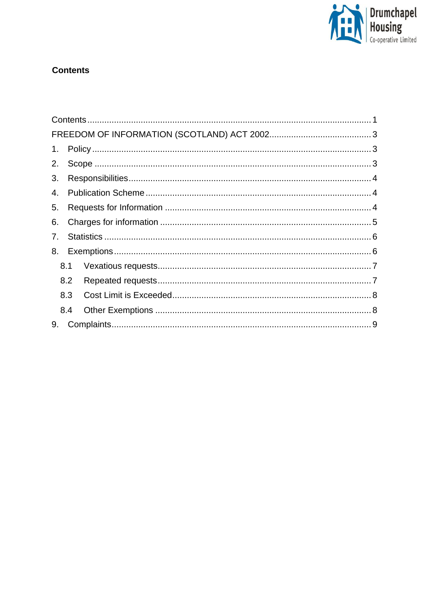

# **Contents**

| 3. |     |  |  |
|----|-----|--|--|
| 4. |     |  |  |
| 5. |     |  |  |
| 6. |     |  |  |
| 7. |     |  |  |
|    |     |  |  |
|    | 8.1 |  |  |
|    | 8.2 |  |  |
|    |     |  |  |
|    | 8.4 |  |  |
|    |     |  |  |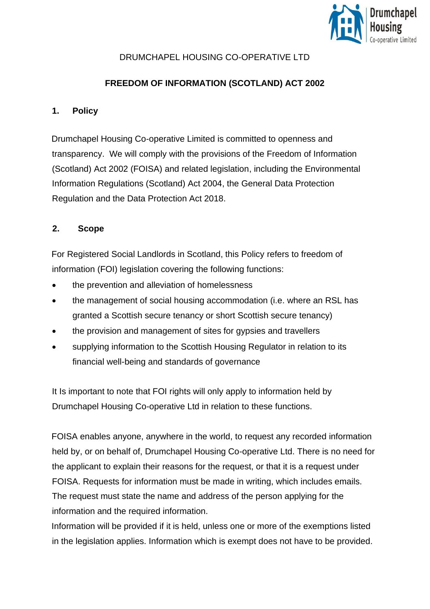

## DRUMCHAPEL HOUSING CO-OPERATIVE LTD

## **FREEDOM OF INFORMATION (SCOTLAND) ACT 2002**

#### <span id="page-2-1"></span><span id="page-2-0"></span>**1. Policy**

Drumchapel Housing Co-operative Limited is committed to openness and transparency. We will comply with the provisions of the Freedom of Information (Scotland) Act 2002 (FOISA) and related legislation, including the Environmental Information Regulations (Scotland) Act 2004, the General Data Protection Regulation and the Data Protection Act 2018.

#### <span id="page-2-2"></span>**2. Scope**

For Registered Social Landlords in Scotland, this Policy refers to freedom of information (FOI) legislation covering the following functions:

- the prevention and alleviation of homelessness
- the management of social housing accommodation (i.e. where an RSL has granted a Scottish secure tenancy or short Scottish secure tenancy)
- the provision and management of sites for gypsies and travellers
- supplying information to the Scottish Housing Regulator in relation to its financial well-being and standards of governance

It Is important to note that FOI rights will only apply to information held by Drumchapel Housing Co-operative Ltd in relation to these functions.

FOISA enables anyone, anywhere in the world, to request any recorded information held by, or on behalf of, Drumchapel Housing Co-operative Ltd. There is no need for the applicant to explain their reasons for the request, or that it is a request under FOISA. Requests for information must be made in writing, which includes emails. The request must state the name and address of the person applying for the information and the required information.

Information will be provided if it is held, unless one or more of the exemptions listed in the legislation applies. Information which is exempt does not have to be provided.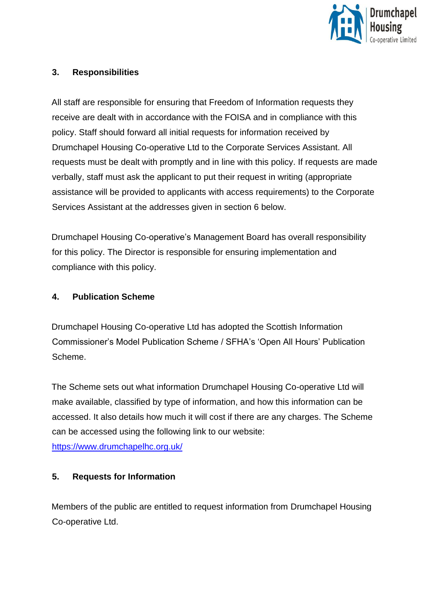

#### <span id="page-3-0"></span>**3. Responsibilities**

All staff are responsible for ensuring that Freedom of Information requests they receive are dealt with in accordance with the FOISA and in compliance with this policy. Staff should forward all initial requests for information received by Drumchapel Housing Co-operative Ltd to the Corporate Services Assistant. All requests must be dealt with promptly and in line with this policy. If requests are made verbally, staff must ask the applicant to put their request in writing (appropriate assistance will be provided to applicants with access requirements) to the Corporate Services Assistant at the addresses given in section 6 below.

Drumchapel Housing Co-operative's Management Board has overall responsibility for this policy. The Director is responsible for ensuring implementation and compliance with this policy.

#### <span id="page-3-1"></span>**4. Publication Scheme**

Drumchapel Housing Co-operative Ltd has adopted the Scottish Information Commissioner's Model Publication Scheme / SFHA's 'Open All Hours' Publication Scheme.

The Scheme sets out what information Drumchapel Housing Co-operative Ltd will make available, classified by type of information, and how this information can be accessed. It also details how much it will cost if there are any charges. The Scheme can be accessed using the following link to our website: <https://www.drumchapelhc.org.uk/>

#### <span id="page-3-2"></span>**5. Requests for Information**

Members of the public are entitled to request information from Drumchapel Housing Co-operative Ltd.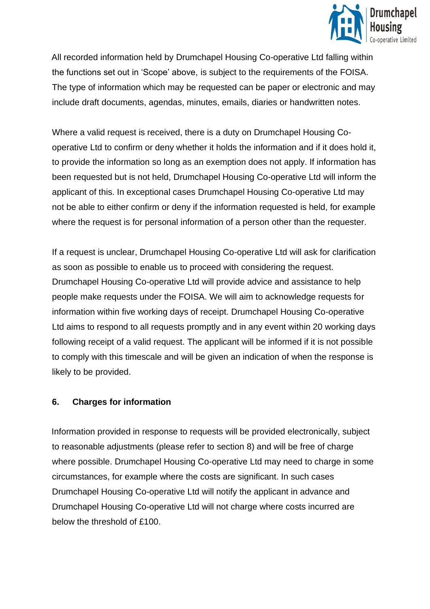

All recorded information held by Drumchapel Housing Co-operative Ltd falling within the functions set out in 'Scope' above, is subject to the requirements of the FOISA. The type of information which may be requested can be paper or electronic and may include draft documents, agendas, minutes, emails, diaries or handwritten notes.

Where a valid request is received, there is a duty on Drumchapel Housing Cooperative Ltd to confirm or deny whether it holds the information and if it does hold it, to provide the information so long as an exemption does not apply. If information has been requested but is not held, Drumchapel Housing Co-operative Ltd will inform the applicant of this. In exceptional cases Drumchapel Housing Co-operative Ltd may not be able to either confirm or deny if the information requested is held, for example where the request is for personal information of a person other than the requester.

If a request is unclear, Drumchapel Housing Co-operative Ltd will ask for clarification as soon as possible to enable us to proceed with considering the request. Drumchapel Housing Co-operative Ltd will provide advice and assistance to help people make requests under the FOISA. We will aim to acknowledge requests for information within five working days of receipt. Drumchapel Housing Co-operative Ltd aims to respond to all requests promptly and in any event within 20 working days following receipt of a valid request. The applicant will be informed if it is not possible to comply with this timescale and will be given an indication of when the response is likely to be provided.

#### <span id="page-4-0"></span>**6. Charges for information**

Information provided in response to requests will be provided electronically, subject to reasonable adjustments (please refer to section 8) and will be free of charge where possible. Drumchapel Housing Co-operative Ltd may need to charge in some circumstances, for example where the costs are significant. In such cases Drumchapel Housing Co-operative Ltd will notify the applicant in advance and Drumchapel Housing Co-operative Ltd will not charge where costs incurred are below the threshold of £100.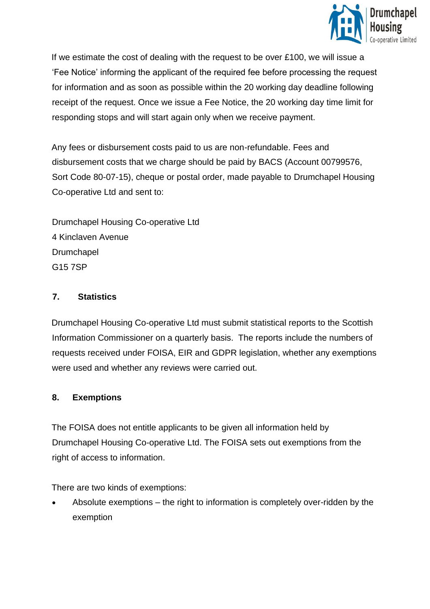

If we estimate the cost of dealing with the request to be over £100, we will issue a 'Fee Notice' informing the applicant of the required fee before processing the request for information and as soon as possible within the 20 working day deadline following receipt of the request. Once we issue a Fee Notice, the 20 working day time limit for responding stops and will start again only when we receive payment.

Any fees or disbursement costs paid to us are non-refundable. Fees and disbursement costs that we charge should be paid by BACS (Account 00799576, Sort Code 80-07-15), cheque or postal order, made payable to Drumchapel Housing Co-operative Ltd and sent to:

Drumchapel Housing Co-operative Ltd 4 Kinclaven Avenue Drumchapel G15 7SP

#### <span id="page-5-0"></span>**7. Statistics**

Drumchapel Housing Co-operative Ltd must submit statistical reports to the Scottish Information Commissioner on a quarterly basis. The reports include the numbers of requests received under FOISA, EIR and GDPR legislation, whether any exemptions were used and whether any reviews were carried out.

#### <span id="page-5-1"></span>**8. Exemptions**

The FOISA does not entitle applicants to be given all information held by Drumchapel Housing Co-operative Ltd. The FOISA sets out exemptions from the right of access to information.

There are two kinds of exemptions:

• Absolute exemptions – the right to information is completely over-ridden by the exemption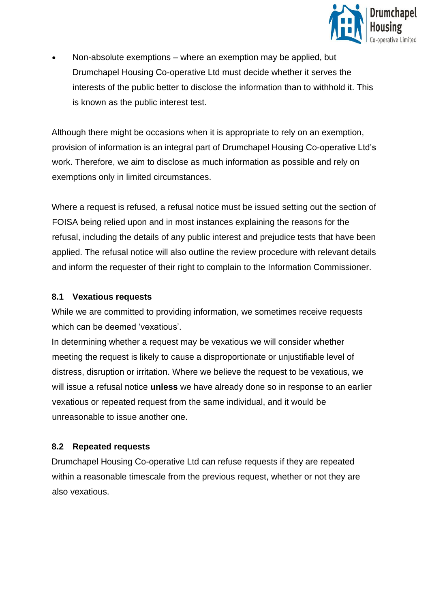

• Non-absolute exemptions – where an exemption may be applied, but Drumchapel Housing Co-operative Ltd must decide whether it serves the interests of the public better to disclose the information than to withhold it. This is known as the public interest test.

Although there might be occasions when it is appropriate to rely on an exemption, provision of information is an integral part of Drumchapel Housing Co-operative Ltd's work. Therefore, we aim to disclose as much information as possible and rely on exemptions only in limited circumstances.

Where a request is refused, a refusal notice must be issued setting out the section of FOISA being relied upon and in most instances explaining the reasons for the refusal, including the details of any public interest and prejudice tests that have been applied. The refusal notice will also outline the review procedure with relevant details and inform the requester of their right to complain to the Information Commissioner.

#### <span id="page-6-0"></span>**8.1 Vexatious requests**

While we are committed to providing information, we sometimes receive requests which can be deemed 'vexatious'.

In determining whether a request may be vexatious we will consider whether meeting the request is likely to cause a disproportionate or unjustifiable level of distress, disruption or irritation. Where we believe the request to be vexatious, we will issue a refusal notice **unless** we have already done so in response to an earlier vexatious or repeated request from the same individual, and it would be unreasonable to issue another one.

## <span id="page-6-1"></span>**8.2 Repeated requests**

Drumchapel Housing Co-operative Ltd can refuse requests if they are repeated within a reasonable timescale from the previous request, whether or not they are also vexatious.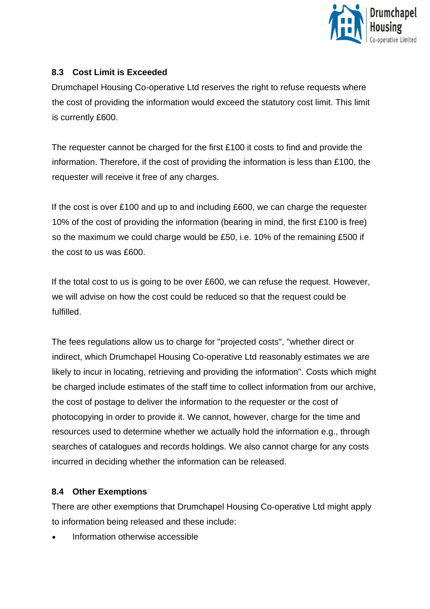

## <span id="page-7-0"></span>**8.3 Cost Limit is Exceeded**

Drumchapel Housing Co-operative Ltd reserves the right to refuse requests where the cost of providing the information would exceed the statutory cost limit. This limit is currently £600.

The requester cannot be charged for the first £100 it costs to find and provide the information. Therefore, if the cost of providing the information is less than £100, the requester will receive it free of any charges.

If the cost is over £100 and up to and including £600, we can charge the requester 10% of the cost of providing the information (bearing in mind, the first £100 is free) so the maximum we could charge would be £50, i.e. 10% of the remaining £500 if the cost to us was £600

If the total cost to us is going to be over £600, we can refuse the request. However, we will advise on how the cost could be reduced so that the request could be fulfilled.

The fees regulations allow us to charge for "projected costs", "whether direct or indirect, which Drumchapel Housing Co-operative Ltd reasonably estimates we are likely to incur in locating, retrieving and providing the information". Costs which might be charged include estimates of the staff time to collect information from our archive, the cost of postage to deliver the information to the requester or the cost of photocopying in order to provide it. We cannot, however, charge for the time and resources used to determine whether we actually hold the information e.g., through searches of catalogues and records holdings. We also cannot charge for any costs incurred in deciding whether the information can be released.

## <span id="page-7-1"></span>**8.4 Other Exemptions**

There are other exemptions that Drumchapel Housing Co-operative Ltd might apply to information being released and these include:

• Information otherwise accessible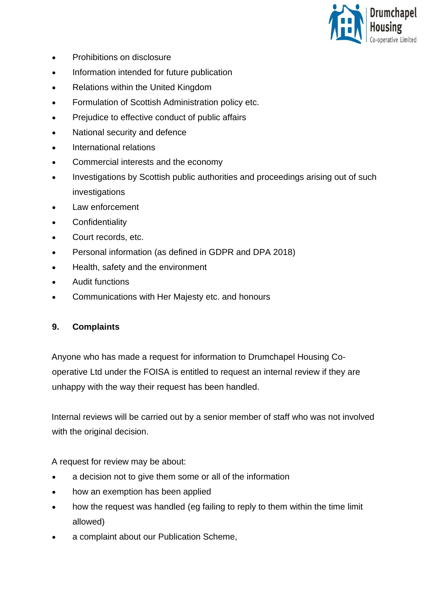

- Prohibitions on disclosure
- Information intended for future publication
- Relations within the United Kingdom
- Formulation of Scottish Administration policy etc.
- Prejudice to effective conduct of public affairs
- National security and defence
- International relations
- Commercial interests and the economy
- Investigations by Scottish public authorities and proceedings arising out of such investigations
- Law enforcement
- Confidentiality
- Court records, etc.
- Personal information (as defined in GDPR and DPA 2018)
- Health, safety and the environment
- Audit functions
- Communications with Her Majesty etc. and honours

#### <span id="page-8-0"></span>**9. Complaints**

Anyone who has made a request for information to Drumchapel Housing Cooperative Ltd under the FOISA is entitled to request an internal review if they are unhappy with the way their request has been handled.

Internal reviews will be carried out by a senior member of staff who was not involved with the original decision.

A request for review may be about:

- a decision not to give them some or all of the information
- how an exemption has been applied
- how the request was handled (eg failing to reply to them within the time limit allowed)
- a complaint about our Publication Scheme,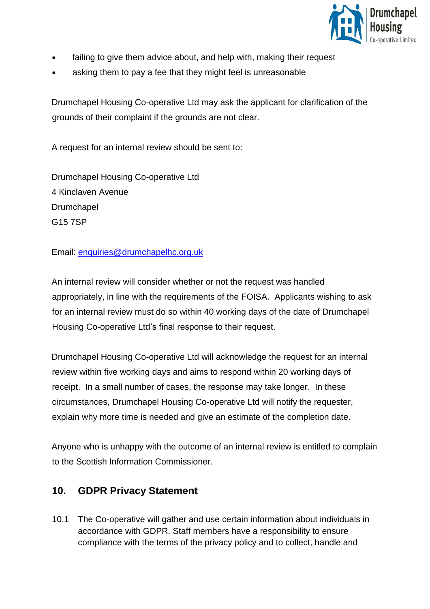

- failing to give them advice about, and help with, making their request
- asking them to pay a fee that they might feel is unreasonable

Drumchapel Housing Co-operative Ltd may ask the applicant for clarification of the grounds of their complaint if the grounds are not clear.

A request for an internal review should be sent to:

Drumchapel Housing Co-operative Ltd 4 Kinclaven Avenue Drumchapel G15 7SP

Email: [enquiries@drumchapelhc.org.uk](mailto:enquiries@drumchapelhc.org.uk)

An internal review will consider whether or not the request was handled appropriately, in line with the requirements of the FOISA. Applicants wishing to ask for an internal review must do so within 40 working days of the date of Drumchapel Housing Co-operative Ltd's final response to their request.

Drumchapel Housing Co-operative Ltd will acknowledge the request for an internal review within five working days and aims to respond within 20 working days of receipt. In a small number of cases, the response may take longer. In these circumstances, Drumchapel Housing Co-operative Ltd will notify the requester, explain why more time is needed and give an estimate of the completion date.

Anyone who is unhappy with the outcome of an internal review is entitled to complain to the Scottish Information Commissioner.

## **10. GDPR Privacy Statement**

10.1 The Co-operative will gather and use certain information about individuals in accordance with GDPR. Staff members have a responsibility to ensure compliance with the terms of the privacy policy and to collect, handle and